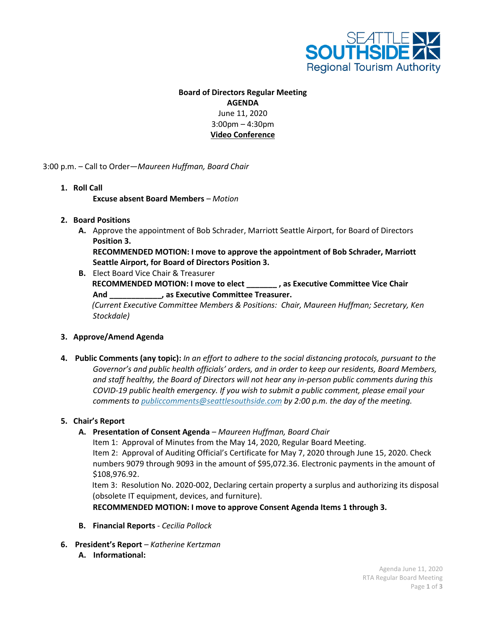

## **Board of Directors Regular Meeting AGENDA**

June 11, 2020 3:00pm – 4:30pm **Video Conference**

3:00 p.m. – Call to Order—*Maureen Huffman, Board Chair*

**1. Roll Call**

**Excuse absent Board Members** *– Motion*

- **2. Board Positions**
	- **A.** Approve the appointment of Bob Schrader, Marriott Seattle Airport, for Board of Directors **Position 3. RECOMMENDED MOTION: I move to approve the appointment of Bob Schrader, Marriott**

**Seattle Airport, for Board of Directors Position 3.**

**B.** Elect Board Vice Chair & Treasurer **RECOMMENDED MOTION: I move to elect \_\_\_\_\_\_\_ , as Executive Committee Vice Chair And \_\_\_\_\_\_\_\_\_\_\_\_, as Executive Committee Treasurer.**  *(Current Executive Committee Members & Positions: Chair, Maureen Huffman; Secretary, Ken Stockdale)*

## **3. Approve/Amend Agenda**

**4. Public Comments (any topic):** *In an effort to adhere to the social distancing protocols, pursuant to the Governor's and public health officials' orders, and in order to keep our residents, Board Members, and staff healthy, the Board of Directors will not hear any in-person public comments during this COVID-19 public health emergency. If you wish to submit a public comment, please email your comments to [publiccomments@seattlesouthside.com](mailto:publiccomments@seattlesouthside.com) by 2:00 p.m. the day of the meeting.* 

## **5. Chair's Report**

**A. Presentation of Consent Agenda** *– Maureen Huffman, Board Chair*

Item 1: Approval of Minutes from the May 14, 2020, Regular Board Meeting.

Item 2: Approval of Auditing Official's Certificate for May 7, 2020 through June 15, 2020. Check numbers 9079 through 9093 in the amount of \$95,072.36. Electronic payments in the amount of \$108,976.92.

Item 3: Resolution No. 2020-002, Declaring certain property a surplus and authorizing its disposal (obsolete IT equipment, devices, and furniture).

**RECOMMENDED MOTION: I move to approve Consent Agenda Items 1 through 3.**

- **B. Financial Reports** *- Cecilia Pollock*
- **6. President's Report** *– Katherine Kertzman* **A. Informational:**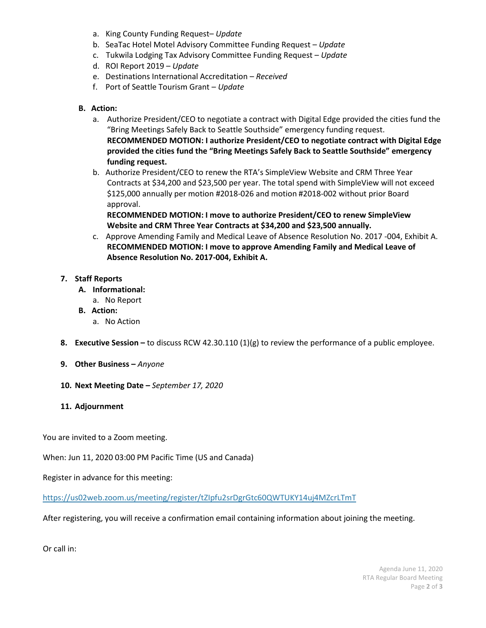- a. King County Funding Request– *Update*
- b. SeaTac Hotel Motel Advisory Committee Funding Request *Update*
- c. Tukwila Lodging Tax Advisory Committee Funding Request *Update*
- d. ROI Report 2019 *Update*
- e. Destinations International Accreditation *Received*
- f. Port of Seattle Tourism Grant *Update*
- **B. Action:**
	- a. Authorize President/CEO to negotiate a contract with Digital Edge provided the cities fund the "Bring Meetings Safely Back to Seattle Southside" emergency funding request. **RECOMMENDED MOTION: I authorize President/CEO to negotiate contract with Digital Edge provided the cities fund the "Bring Meetings Safely Back to Seattle Southside" emergency funding request.**
	- b. Authorize President/CEO to renew the RTA's SimpleView Website and CRM Three Year Contracts at \$34,200 and \$23,500 per year. The total spend with SimpleView will not exceed \$125,000 annually per motion #2018-026 and motion #2018-002 without prior Board approval.

**RECOMMENDED MOTION: I move to authorize President/CEO to renew SimpleView Website and CRM Three Year Contracts at \$34,200 and \$23,500 annually.** 

c. Approve Amending Family and Medical Leave of Absence Resolution No. 2017 -004, Exhibit A. **RECOMMENDED MOTION: I move to approve Amending Family and Medical Leave of Absence Resolution No. 2017-004, Exhibit A.**

## **7. Staff Reports**

- **A. Informational:**
	- a. No Report
- **B. Action:**
	- a. No Action
- **8. Executive Session –** to discuss RCW 42.30.110 (1)(g) to review the performance of a public employee.
- **9. Other Business –** *Anyone*
- **10. Next Meeting Date –** *September 17, 2020*
- **11. Adjournment**

You are invited to a Zoom meeting.

When: Jun 11, 2020 03:00 PM Pacific Time (US and Canada)

Register in advance for this meeting:

<https://us02web.zoom.us/meeting/register/tZIpfu2srDgrGtc60QWTUKY14uj4MZcrLTmT>

After registering, you will receive a confirmation email containing information about joining the meeting.

Or call in: